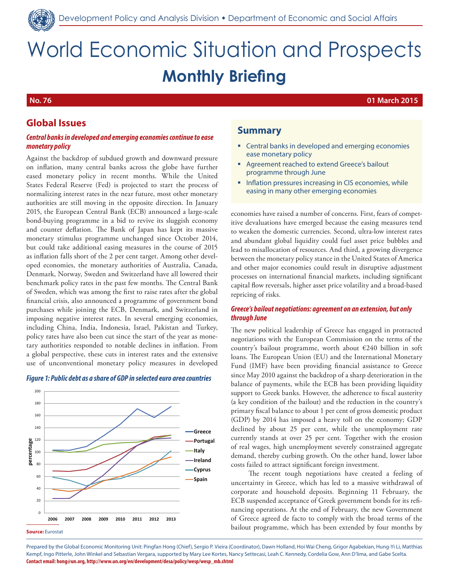

# World Economic Situation and Prospects **Monthly Briefing**

**No. 76 01 March 2015**

# **Global Issues**

#### *Central banks in developed and emerging economies continue to ease monetary policy*

Against the backdrop of subdued growth and downward pressure on inflation, many central banks across the globe have further eased monetary policy in recent months. While the United States Federal Reserve (Fed) is projected to start the process of normalizing interest rates in the near future, most other monetary authorities are still moving in the opposite direction. In January 2015, the European Central Bank (ECB) announced a large-scale bond-buying programme in a bid to revive its sluggish economy and counter deflation. The Bank of Japan has kept its massive monetary stimulus programme unchanged since October 2014, but could take additional easing measures in the course of 2015 as inflation falls short of the 2 per cent target. Among other developed economies, the monetary authorities of Australia, Canada, Denmark, Norway, Sweden and Switzerland have all lowered their benchmark policy rates in the past few months. The Central Bank of Sweden, which was among the first to raise rates after the global financial crisis, also announced a programme of government bond purchases while joining the ECB, Denmark, and Switzerland in imposing negative interest rates. In several emerging economies, including China, India, Indonesia, Israel, Pakistan and Turkey, policy rates have also been cut since the start of the year as monetary authorities responded to notable declines in inflation. From a global perspective, these cuts in interest rates and the extensive use of unconventional monetary policy measures in developed

#### *Figure 1: Public debt as a share of GDP in selected euro area countries*



**Source:** Eurostat

# **Summary**

- **EXECTE 2018 12 Inc.** Central banks in developed and emerging economies ease monetary policy
- Agreement reached to extend Greece's bailout programme through June
- **Inflation pressures increasing in CIS economies, while** easing in many other emerging economies

economies have raised a number of concerns. First, fears of competitive devaluations have emerged because the easing measures tend to weaken the domestic currencies. Second, ultra-low interest rates and abundant global liquidity could fuel asset price bubbles and lead to misallocation of resources. And third, a growing divergence between the monetary policy stance in the United States of America and other major economies could result in disruptive adjustment processes on international financial markets, including significant capital flow reversals, higher asset price volatility and a broad-based repricing of risks.

#### *Greece's bailout negotiations: agreement on an extension, but only through June*

The new political leadership of Greece has engaged in protracted negotiations with the European Commission on the terms of the country's bailout programme, worth about €240 billion in soft loans. The European Union (EU) and the International Monetary Fund (IMF) have been providing financial assistance to Greece since May 2010 against the backdrop of a sharp deterioration in the balance of payments, while the ECB has been providing liquidity support to Greek banks. However, the adherence to fiscal austerity (a key condition of the bailout) and the reduction in the country's primary fiscal balance to about 1 per cent of gross domestic product (GDP) by 2014 has imposed a heavy toll on the economy; GDP declined by about 25 per cent, while the unemployment rate currently stands at over 25 per cent. Together with the erosion of real wages, high unemployment severely constrained aggregate demand, thereby curbing growth. On the other hand, lower labor costs failed to attract significant foreign investment.

The recent tough negotiations have created a feeling of uncertainty in Greece, which has led to a massive withdrawal of corporate and household deposits. Beginning 11 February, the ECB suspended acceptance of Greek government bonds for its refinancing operations. At the end of February, the new Government of Greece agreed de facto to comply with the broad terms of the bailout programme, which has been extended by four months by

Prepared by the Global Economic Monitoring Unit: Pingfan Hong (Chief), Sergio P. Vieira (Coordinator), Dawn Holland, Hoi Wai Cheng, Grigor Agabekian, Hung-Yi Li, Matthias Kempf, Ingo Pitterle, John Winkel and Sebastian Vergara, supported by Mary Lee Kortes, Nancy Settecasi, Leah C. Kennedy, Cordelia Gow, Ann D'lima, and Gabe Scelta. **Contact email: hong@un.org, http://www.un.org/en/development/desa/policy/wesp/wesp\_mb.shtml**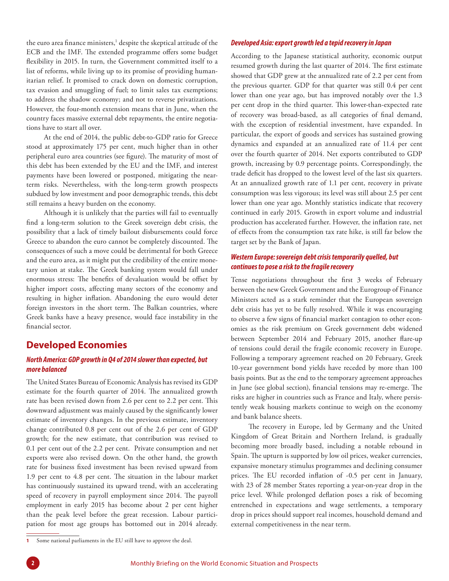the euro area finance ministers, $^1$  despite the skeptical attitude of the ECB and the IMF. The extended programme offers some budget flexibility in 2015. In turn, the Government committed itself to a list of reforms, while living up to its promise of providing humanitarian relief. It promised to crack down on domestic corruption, tax evasion and smuggling of fuel; to limit sales tax exemptions; to address the shadow economy; and not to reverse privatizations. However, the four-month extension means that in June, when the country faces massive external debt repayments, the entire negotiations have to start all over.

At the end of 2014, the public debt-to-GDP ratio for Greece stood at approximately 175 per cent, much higher than in other peripheral euro area countries (see figure). The maturity of most of this debt has been extended by the EU and the IMF, and interest payments have been lowered or postponed, mitigating the nearterm risks. Nevertheless, with the long-term growth prospects subdued by low investment and poor demographic trends, this debt still remains a heavy burden on the economy.

Although it is unlikely that the parties will fail to eventually find a long-term solution to the Greek sovereign debt crisis, the possibility that a lack of timely bailout disbursements could force Greece to abandon the euro cannot be completely discounted. The consequences of such a move could be detrimental for both Greece and the euro area, as it might put the credibility of the entire monetary union at stake. The Greek banking system would fall under enormous stress: The benefits of devaluation would be offset by higher import costs, affecting many sectors of the economy and resulting in higher inflation. Abandoning the euro would deter foreign investors in the short term. The Balkan countries, where Greek banks have a heavy presence, would face instability in the financial sector.

# **Developed Economies**

### *North America: GDP growth in Q4 of 2014 slower than expected, but more balanced*

The United States Bureau of Economic Analysis has revised its GDP estimate for the fourth quarter of 2014. The annualized growth rate has been revised down from 2.6 per cent to 2.2 per cent. This downward adjustment was mainly caused by the significantly lower estimate of inventory changes. In the previous estimate, inventory change contributed 0.8 per cent out of the 2.6 per cent of GDP growth; for the new estimate, that contribution was revised to 0.1 per cent out of the 2.2 per cent. Private consumption and net exports were also revised down. On the other hand, the growth rate for business fixed investment has been revised upward from 1.9 per cent to 4.8 per cent. The situation in the labour market has continuously sustained its upward trend, with an accelerating speed of recovery in payroll employment since 2014. The payroll employment in early 2015 has become about 2 per cent higher than the peak level before the great recession. Labour participation for most age groups has bottomed out in 2014 already.

According to the Japanese statistical authority, economic output resumed growth during the last quarter of 2014. The first estimate showed that GDP grew at the annualized rate of 2.2 per cent from the previous quarter. GDP for that quarter was still 0.4 per cent lower than one year ago, but has improved notably over the 1.3 per cent drop in the third quarter. This lower-than-expected rate of recovery was broad-based, as all categories of final demand, with the exception of residential investment, have expanded. In particular, the export of goods and services has sustained growing dynamics and expanded at an annualized rate of 11.4 per cent over the fourth quarter of 2014. Net exports contributed to GDP growth, increasing by 0.9 percentage points. Correspondingly, the trade deficit has dropped to the lowest level of the last six quarters. At an annualized growth rate of 1.1 per cent, recovery in private consumption was less vigorous; its level was still about 2.5 per cent lower than one year ago. Monthly statistics indicate that recovery continued in early 2015. Growth in export volume and industrial production has accelerated further. However, the inflation rate, net of effects from the consumption tax rate hike, is still far below the target set by the Bank of Japan.

#### *Western Europe: sovereign debt crisis temporarily quelled, but continues to pose a risk to the fragile recovery*

Tense negotiations throughout the first 3 weeks of February between the new Greek Government and the Eurogroup of Finance Ministers acted as a stark reminder that the European sovereign debt crisis has yet to be fully resolved. While it was encouraging to observe a few signs of financial market contagion to other economies as the risk premium on Greek government debt widened between September 2014 and February 2015, another flare-up of tensions could derail the fragile economic recovery in Europe. Following a temporary agreement reached on 20 February, Greek 10-year government bond yields have receded by more than 100 basis points. But as the end to the temporary agreement approaches in June (see global section), financial tensions may re-emerge. The risks are higher in countries such as France and Italy, where persistently weak housing markets continue to weigh on the economy and bank balance sheets.

The recovery in Europe, led by Germany and the United Kingdom of Great Britain and Northern Ireland, is gradually becoming more broadly based, including a notable rebound in Spain. The upturn is supported by low oil prices, weaker currencies, expansive monetary stimulus programmes and declining consumer prices. The EU recorded inflation of -0.5 per cent in January, with 23 of 28 member States reporting a year-on-year drop in the price level. While prolonged deflation poses a risk of becoming entrenched in expectations and wage settlements, a temporary drop in prices should support real incomes, household demand and external competitiveness in the near term.

*Developed Asia: export growth led a tepid recovery in Japan* 

**<sup>1</sup>** Some national parliaments in the EU still have to approve the deal.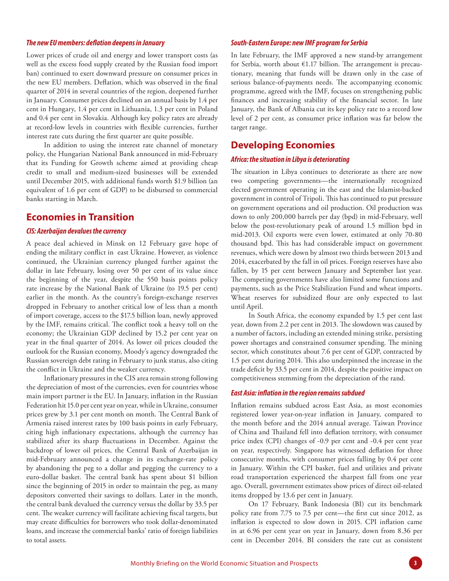#### *The new EU members: deflation deepens in January*

Lower prices of crude oil and energy and lower transport costs (as well as the excess food supply created by the Russian food import ban) continued to exert downward pressure on consumer prices in the new EU members. Deflation, which was observed in the final quarter of 2014 in several countries of the region, deepened further in January. Consumer prices declined on an annual basis by 1.4 per cent in Hungary, 1.4 per cent in Lithuania, 1.3 per cent in Poland and 0.4 per cent in Slovakia. Although key policy rates are already at record-low levels in countries with flexible currencies, further interest rate cuts during the first quarter are quite possible.

In addition to using the interest rate channel of monetary policy, the Hungarian National Bank announced in mid-February that its Funding for Growth scheme aimed at providing cheap credit to small and medium-sized businesses will be extended until December 2015, with additional funds worth \$1.9 billion (an equivalent of 1.6 per cent of GDP) to be disbursed to commercial banks starting in March.

## **Economies in Transition**

#### *CIS: Azerbaijan devalues the currency*

A peace deal achieved in Minsk on 12 February gave hope of ending the military conflict in east Ukraine. However, as violence continued, the Ukrainian currency plunged further against the dollar in late February, losing over 50 per cent of its value since the beginning of the year, despite the 550 basis points policy rate increase by the National Bank of Ukraine (to 19.5 per cent) earlier in the month. As the country's foreign-exchange reserves dropped in February to another critical low of less than a month of import coverage, access to the \$17.5 billion loan, newly approved by the IMF, remains critical. The conflict took a heavy toll on the economy; the Ukrainian GDP declined by 15.2 per cent year on year in the final quarter of 2014. As lower oil prices clouded the outlook for the Russian economy, Moody's agency downgraded the Russian sovereign debt rating in February to junk status, also citing the conflict in Ukraine and the weaker currency.

Inflationary pressures in the CIS area remain strong following the depreciation of most of the currencies, even for countries whose main import partner is the EU. In January, inflation in the Russian Federation hit 15.0 per cent year on year, while in Ukraine, consumer prices grew by 3.1 per cent month on month. The Central Bank of Armenia raised interest rates by 100 basis points in early February, citing high inflationary expectations, although the currency has stabilized after its sharp fluctuations in December. Against the backdrop of lower oil prices, the Central Bank of Azerbaijan in mid-February announced a change in its exchange-rate policy by abandoning the peg to a dollar and pegging the currency to a euro-dollar basket. The central bank has spent about \$1 billion since the beginning of 2015 in order to maintain the peg, as many depositors converted their savings to dollars. Later in the month, the central bank devalued the currency versus the dollar by 33.5 per cent. The weaker currency will facilitate achieving fiscal targets, but may create difficulties for borrowers who took dollar-denominated loans, and increase the commercial banks' ratio of foreign liabilities to total assets.

#### *South-Eastern Europe: new IMF program for Serbia*

In late February, the IMF approved a new stand-by arrangement for Serbia, worth about €1.17 billion. The arrangement is precautionary, meaning that funds will be drawn only in the case of serious balance-of-payments needs. The accompanying economic programme, agreed with the IMF, focuses on strengthening public finances and increasing stability of the financial sector. In late January, the Bank of Albania cut its key policy rate to a record low level of 2 per cent, as consumer price inflation was far below the target range.

# **Developing Economies**

#### *Africa: the situation in Libya is deteriorating*

The situation in Libya continues to deteriorate as there are now two competing governments—the internationally recognized elected government operating in the east and the Islamist-backed government in control of Tripoli. This has continued to put pressure on government operations and oil production. Oil production was down to only 200,000 barrels per day (bpd) in mid-February, well below the post-revolutionary peak of around 1.5 million bpd in mid-2013. Oil exports were even lower, estimated at only 70-80 thousand bpd. This has had considerable impact on government revenues, which were down by almost two thirds between 2013 and 2014, exacerbated by the fall in oil prices. Foreign reserves have also fallen, by 15 per cent between January and September last year. The competing governments have also limited some functions and payments, such as the Price Stabilization Fund and wheat imports. Wheat reserves for subsidized flour are only expected to last until April.

In South Africa, the economy expanded by 1.5 per cent last year, down from 2.2 per cent in 2013. The slowdown was caused by a number of factors, including an extended mining strike, persisting power shortages and constrained consumer spending. The mining sector, which constitutes about 7.6 per cent of GDP, contracted by 1.5 per cent during 2014. This also underpinned the increase in the trade deficit by 33.5 per cent in 2014, despite the positive impact on competitiveness stemming from the depreciation of the rand.

#### *East Asia: inflation in the region remains subdued*

Inflation remains subdued across East Asia, as most economies registered lower year-on-year inflation in January, compared to the month before and the 2014 annual average. Taiwan Province of China and Thailand fell into deflation territory, with consumer price index (CPI) changes of -0.9 per cent and -0.4 per cent year on year, respectively. Singapore has witnessed deflation for three consecutive months, with consumer prices falling by 0.4 per cent in January. Within the CPI basket, fuel and utilities and private road transportation experienced the sharpest fall from one year ago. Overall, government estimates show prices of direct oil-related items dropped by 13.6 per cent in January.

On 17 February, Bank Indonesia (BI) cut its benchmark policy rate from 7.75 to 7.5 per cent—the first cut since 2012, as inflation is expected to slow down in 2015. CPI inflation came in at 6.96 per cent year on year in January, down from 8.36 per cent in December 2014. BI considers the rate cut as consistent